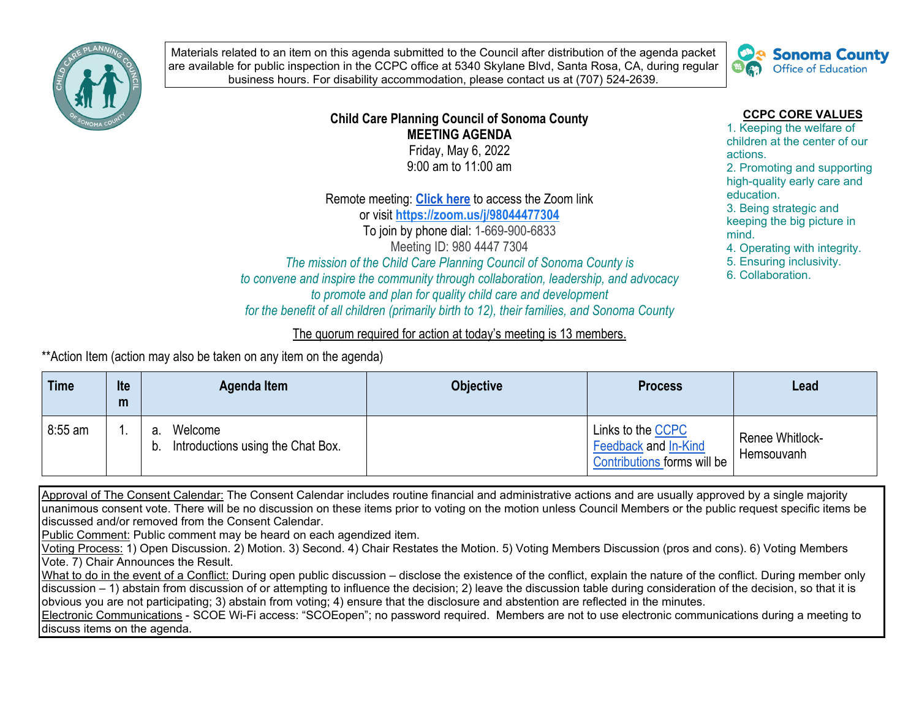

Materials related to an item on this agenda submitted to the Council after distribution of the agenda packet are available for public inspection in the CCPC office at 5340 Skylane Blvd, Santa Rosa, CA, during regular business hours. For disability accommodation, please contact us at (707) 524-2639.



## **Child Care Planning Council of Sonoma County MEETING AGENDA**  Friday, May 6, 2022

9:00 am to 11:00 am

Remote meeting: **[Click here](https://zoom.us/j/98044477304)** to access the Zoom link or visit **<https://zoom.us/j/98044477304>** To join by phone dial: 1-669-900-6833 Meeting ID: 980 4447 7304 *The mission of the Child Care Planning Council of Sonoma County is* 

*to convene and inspire the community through collaboration, leadership, and advocacy to promote and plan for quality child care and development* 

*for the benefit of all children (primarily birth to 12), their families, and Sonoma County*

## The quorum required for action at today's meeting is 13 members.

\*\*Action Item (action may also be taken on any item on the agenda)

| <b>Time</b> | Ite<br>m | Agenda Item                                              | <b>Objective</b> | <b>Process</b>                                                           | Lead                                 |
|-------------|----------|----------------------------------------------------------|------------------|--------------------------------------------------------------------------|--------------------------------------|
| $8:55$ am   |          | Welcome<br>а.<br>Introductions using the Chat Box.<br>b. |                  | Links to the CCPC<br>Feedback and In-Kind<br>Contributions forms will be | <b>Renee Whitlock-</b><br>Hemsouvanh |

Approval of The Consent Calendar: The Consent Calendar includes routine financial and administrative actions and are usually approved by a single majority unanimous consent vote. There will be no discussion on these items prior to voting on the motion unless Council Members or the public request specific items be discussed and/or removed from the Consent Calendar.

Public Comment: Public comment may be heard on each agendized item.

Voting Process: 1) Open Discussion. 2) Motion. 3) Second. 4) Chair Restates the Motion. 5) Voting Members Discussion (pros and cons). 6) Voting Members Vote. 7) Chair Announces the Result.

What to do in the event of a Conflict: During open public discussion – disclose the existence of the conflict, explain the nature of the conflict. During member only discussion – 1) abstain from discussion of or attempting to influence the decision; 2) leave the discussion table during consideration of the decision, so that it is obvious you are not participating; 3) abstain from voting; 4) ensure that the disclosure and abstention are reflected in the minutes.

Electronic Communications - SCOE Wi-Fi access: "SCOEopen"; no password required. Members are not to use electronic communications during a meeting to discuss items on the agenda.

## **CCPC CORE VALUES**

1. Keeping the welfare of children at the center of our actions.

2. Promoting and supporting high-quality early care and education.

3. Being strategic and keeping the big picture in mind.

4. Operating with integrity.

5. Ensuring inclusivity.

6. Collaboration.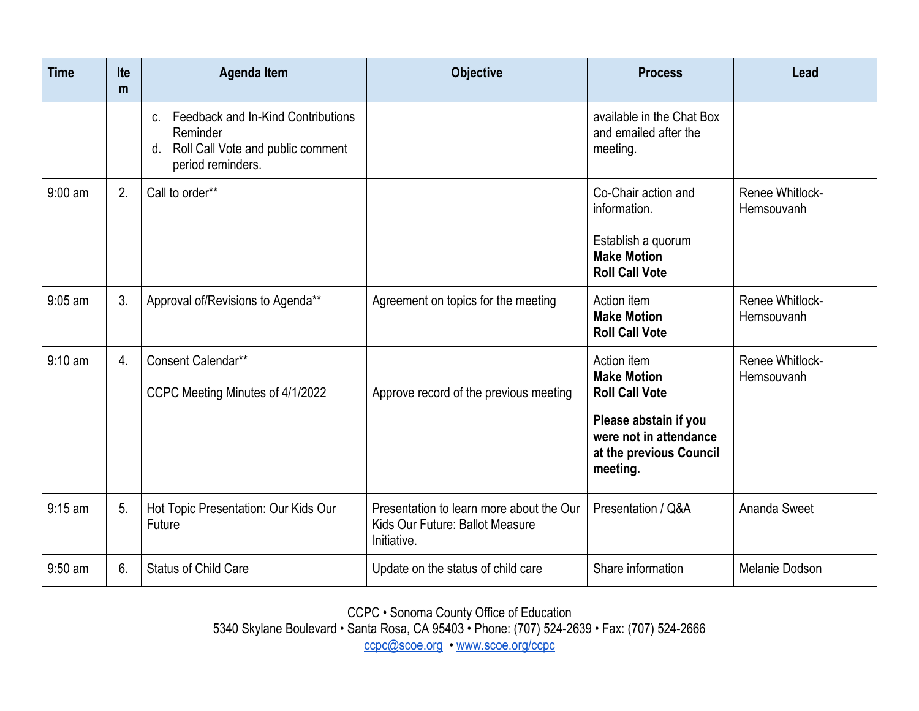| <b>Time</b> | <b>Ite</b><br>m | <b>Agenda Item</b>                                                                                                     | <b>Objective</b>                                                                           | <b>Process</b>                                                                                                                                       | Lead                          |
|-------------|-----------------|------------------------------------------------------------------------------------------------------------------------|--------------------------------------------------------------------------------------------|------------------------------------------------------------------------------------------------------------------------------------------------------|-------------------------------|
|             |                 | Feedback and In-Kind Contributions<br>$C_{-}$<br>Reminder<br>d. Roll Call Vote and public comment<br>period reminders. |                                                                                            | available in the Chat Box<br>and emailed after the<br>meeting.                                                                                       |                               |
| $9:00$ am   | 2.              | Call to order**                                                                                                        |                                                                                            | Co-Chair action and<br>information.<br>Establish a quorum<br><b>Make Motion</b><br><b>Roll Call Vote</b>                                             | Renee Whitlock-<br>Hemsouvanh |
| $9:05$ am   | 3.              | Approval of/Revisions to Agenda**                                                                                      | Agreement on topics for the meeting                                                        | Action item<br><b>Make Motion</b><br><b>Roll Call Vote</b>                                                                                           | Renee Whitlock-<br>Hemsouvanh |
| $9:10$ am   | 4.              | Consent Calendar**<br>CCPC Meeting Minutes of 4/1/2022                                                                 | Approve record of the previous meeting                                                     | Action item<br><b>Make Motion</b><br><b>Roll Call Vote</b><br>Please abstain if you<br>were not in attendance<br>at the previous Council<br>meeting. | Renee Whitlock-<br>Hemsouvanh |
| $9:15$ am   | 5.              | Hot Topic Presentation: Our Kids Our<br>Future                                                                         | Presentation to learn more about the Our<br>Kids Our Future: Ballot Measure<br>Initiative. | Presentation / Q&A                                                                                                                                   | Ananda Sweet                  |
| $9:50$ am   | 6.              | <b>Status of Child Care</b>                                                                                            | Update on the status of child care                                                         | Share information                                                                                                                                    | Melanie Dodson                |

CCPC • Sonoma County Office of Education

5340 Skylane Boulevard • Santa Rosa, CA 95403 • Phone: (707) 524-2639 • Fax: (707) 524-2666

[ccpc@scoe.org](mailto:ccpc@scoe.org) • [www.scoe.org/ccpc](http://www.scoe.org/ccpc)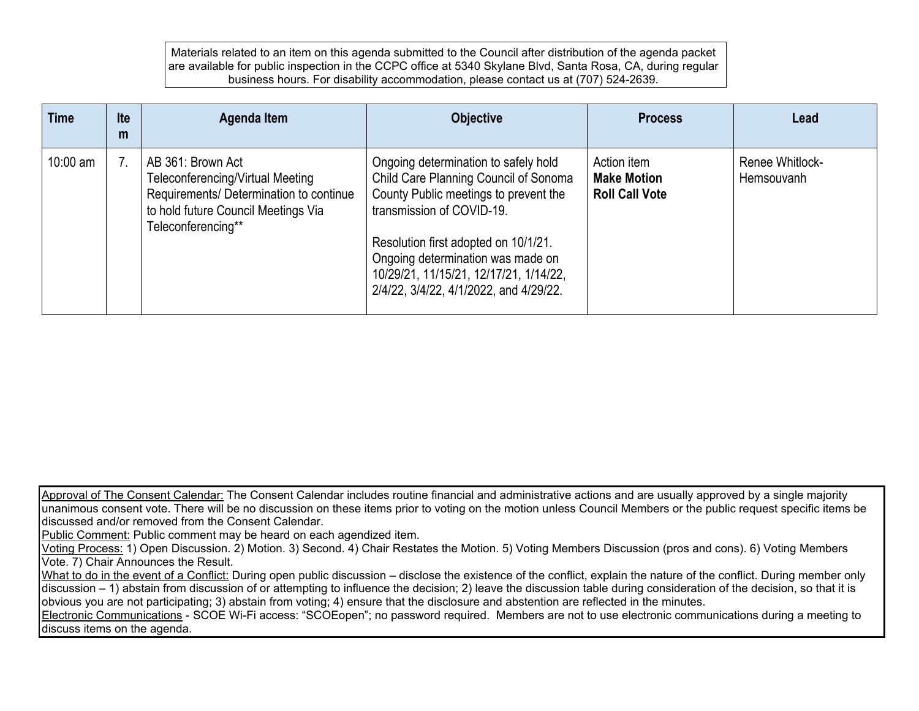Materials related to an item on this agenda submitted to the Council after distribution of the agenda packet are available for public inspection in the CCPC office at 5340 Skylane Blvd, Santa Rosa, CA, during regular business hours. For disability accommodation, please contact us at (707) 524-2639.

| <b>Time</b> | <b>Ite</b><br>m | Agenda Item                                                                                                                                                   | <b>Objective</b>                                                                                                                                                                                                                                                                                                     | <b>Process</b>                                             | Lead                          |
|-------------|-----------------|---------------------------------------------------------------------------------------------------------------------------------------------------------------|----------------------------------------------------------------------------------------------------------------------------------------------------------------------------------------------------------------------------------------------------------------------------------------------------------------------|------------------------------------------------------------|-------------------------------|
| $10:00$ am  |                 | AB 361: Brown Act<br>Teleconferencing/Virtual Meeting<br>Requirements/ Determination to continue<br>to hold future Council Meetings Via<br>Teleconferencing** | Ongoing determination to safely hold<br>Child Care Planning Council of Sonoma<br>County Public meetings to prevent the<br>transmission of COVID-19.<br>Resolution first adopted on 10/1/21.<br>Ongoing determination was made on<br>10/29/21, 11/15/21, 12/17/21, 1/14/22,<br>2/4/22, 3/4/22, 4/1/2022, and 4/29/22. | Action item<br><b>Make Motion</b><br><b>Roll Call Vote</b> | Renee Whitlock-<br>Hemsouvanh |

Approval of The Consent Calendar: The Consent Calendar includes routine financial and administrative actions and are usually approved by a single majority unanimous consent vote. There will be no discussion on these items prior to voting on the motion unless Council Members or the public request specific items be discussed and/or removed from the Consent Calendar.

Public Comment: Public comment may be heard on each agendized item.

Voting Process: 1) Open Discussion. 2) Motion. 3) Second. 4) Chair Restates the Motion. 5) Voting Members Discussion (pros and cons). 6) Voting Members Vote. 7) Chair Announces the Result.

What to do in the event of a Conflict: During open public discussion – disclose the existence of the conflict, explain the nature of the conflict. During member only discussion – 1) abstain from discussion of or attempting to influence the decision; 2) leave the discussion table during consideration of the decision, so that it is obvious you are not participating; 3) abstain from voting; 4) ensure that the disclosure and abstention are reflected in the minutes.

Electronic Communications - SCOE Wi-Fi access: "SCOEopen"; no password required. Members are not to use electronic communications during a meeting to discuss items on the agenda.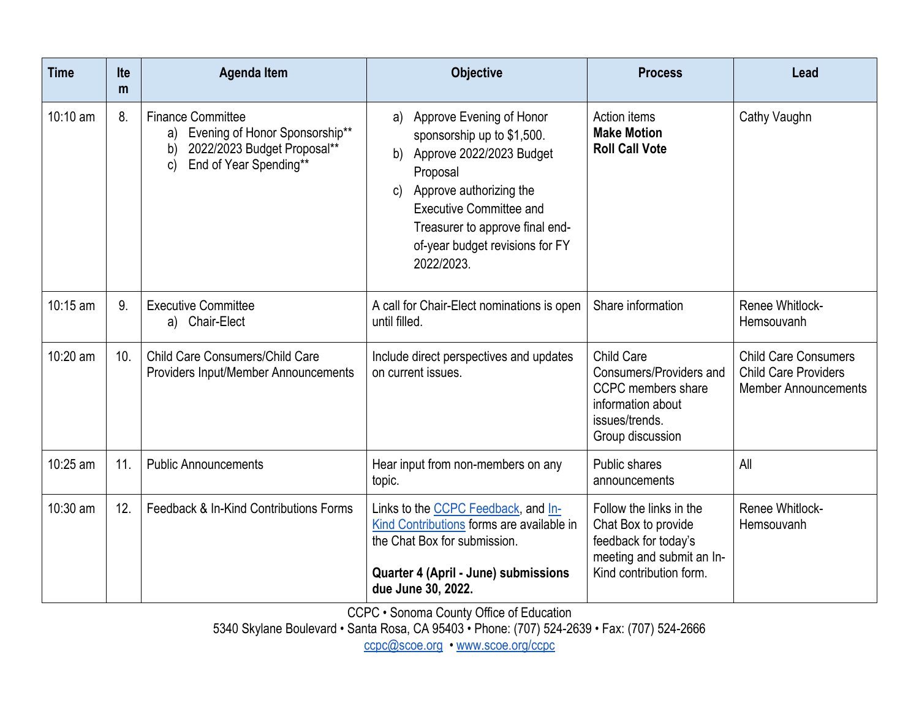| <b>Time</b> | <b>Ite</b><br>m | <b>Agenda Item</b>                                                                                                                              | <b>Objective</b>                                                                                                                                                                                                                                                  | <b>Process</b>                                                                                                                 | Lead                                                                                      |
|-------------|-----------------|-------------------------------------------------------------------------------------------------------------------------------------------------|-------------------------------------------------------------------------------------------------------------------------------------------------------------------------------------------------------------------------------------------------------------------|--------------------------------------------------------------------------------------------------------------------------------|-------------------------------------------------------------------------------------------|
| 10:10 am    | 8.              | <b>Finance Committee</b><br>Evening of Honor Sponsorship**<br>a)<br>2022/2023 Budget Proposal**<br>b)<br>End of Year Spending**<br>$\mathsf{C}$ | Approve Evening of Honor<br>a)<br>sponsorship up to \$1,500.<br>Approve 2022/2023 Budget<br>b)<br>Proposal<br>Approve authorizing the<br>C)<br><b>Executive Committee and</b><br>Treasurer to approve final end-<br>of-year budget revisions for FY<br>2022/2023. | Action items<br><b>Make Motion</b><br><b>Roll Call Vote</b>                                                                    | Cathy Vaughn                                                                              |
| 10:15 am    | 9.              | <b>Executive Committee</b><br>a) Chair-Elect                                                                                                    | A call for Chair-Elect nominations is open<br>until filled.                                                                                                                                                                                                       | Share information                                                                                                              | Renee Whitlock-<br>Hemsouvanh                                                             |
| 10:20 am    | 10.             | Child Care Consumers/Child Care<br>Providers Input/Member Announcements                                                                         | Include direct perspectives and updates<br>on current issues.                                                                                                                                                                                                     | <b>Child Care</b><br>Consumers/Providers and<br>CCPC members share<br>information about<br>issues/trends.<br>Group discussion  | <b>Child Care Consumers</b><br><b>Child Care Providers</b><br><b>Member Announcements</b> |
| 10:25 am    | 11.             | <b>Public Announcements</b>                                                                                                                     | Hear input from non-members on any<br>topic.                                                                                                                                                                                                                      | Public shares<br>announcements                                                                                                 | All                                                                                       |
| 10:30 am    | 12.             | Feedback & In-Kind Contributions Forms                                                                                                          | Links to the CCPC Feedback, and In-<br>Kind Contributions forms are available in<br>the Chat Box for submission.<br>Quarter 4 (April - June) submissions<br>due June 30, 2022.                                                                                    | Follow the links in the<br>Chat Box to provide<br>feedback for today's<br>meeting and submit an In-<br>Kind contribution form. | Renee Whitlock-<br>Hemsouvanh                                                             |

CCPC • Sonoma County Office of Education

5340 Skylane Boulevard • Santa Rosa, CA 95403 • Phone: (707) 524-2639 • Fax: (707) 524-2666

[ccpc@scoe.org](mailto:ccpc@scoe.org) • [www.scoe.org/ccpc](http://www.scoe.org/ccpc)